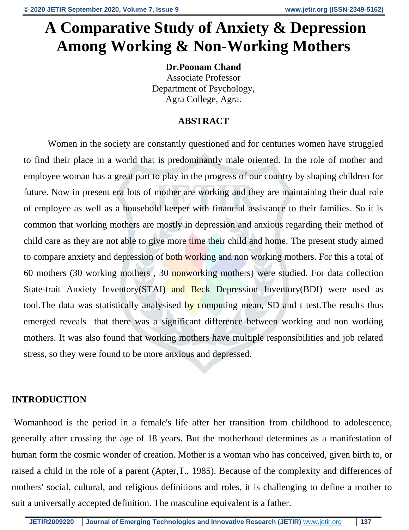# **A Comparative Study of Anxiety & Depression Among Working & Non-Working Mothers**

**Dr.Poonam Chand** Associate Professor Department of Psychology, Agra College, Agra.

# **ABSTRACT**

Women in the society are constantly questioned and for centuries women have struggled to find their place in a world that is predominantly male oriented. In the role of mother and employee woman has a great part to play in the progress of our country by shaping children for future. Now in present era lots of mother are working and they are maintaining their dual role of employee as well as a household keeper with financial assistance to their families. So it is common that working mothers are mostly in depression and anxious regarding their method of child care as they are not able to give more time their child and home. The present study aimed to compare anxiety and depression of both working and non working mothers. For this a total of 60 mothers (30 working mothers , 30 nonworking mothers) were studied. For data collection State-trait Anxiety Inventory(STAI) and Beck Depression Inventory(BDI) were used as tool.The data was statistically analysised by computing mean, SD and t test.The results thus emerged reveals that there was a significant difference between working and non working mothers. It was also found that working mothers have multiple responsibilities and job related stress, so they were found to be more anxious and depressed.

# **INTRODUCTION**

Womanhood is the period in a female's life after her transition from childhood to adolescence, generally after crossing the age of 18 years. But the motherhood determines as a manifestation of human form the cosmic wonder of creation. Mother is a woman who has conceived, given birth to, or raised a child in the role of a parent (Apter,T., 1985). Because of the complexity and differences of mothers' social, cultural, and religious definitions and roles, it is challenging to define a mother to suit a universally accepted definition. The masculine equivalent is a father.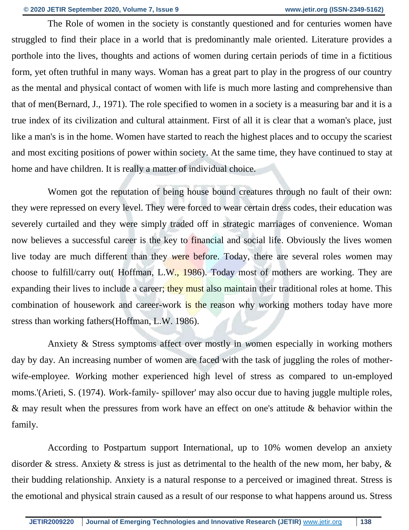The Role of women in the society is constantly questioned and for centuries women have struggled to find their place in a world that is predominantly male oriented. Literature provides a porthole into the lives, thoughts and actions of women during certain periods of time in a fictitious form, yet often truthful in many ways. Woman has a great part to play in the progress of our country as the mental and physical contact of women with life is much more lasting and comprehensive than that of men(Bernard, J., 1971). The role specified to women in a society is a measuring bar and it is a true index of its civilization and cultural attainment. First of all it is clear that a woman's place, just like a man's is in the home. Women have started to reach the highest places and to occupy the scariest and most exciting positions of power within society. At the same time, they have continued to stay at home and have children. It is really a matter of individual choice.

Women got the reputation of being house bound creatures through no fault of their own: they *w*ere repressed on every level. They were forced to wear certain dress codes, their education was severely curtailed and they were simply traded off in strategic marriages of convenience. Woman now believes a successful career is the key to financial and social life. Obviously the lives women live today are much different than they *w*ere before. Today, there are several roles *w*omen may choose to fulfill/carry out( Hoffman, L.W.*,* 1986). Today most of mothers are working. They are expanding their lives to include a career; they must also maintain their traditional roles at home. This combination of housework and career-work is the reason why *w*orking mothers today have more stress than working fathers(Hoffman, L.W. 1986).

Anxiety & Stress symptoms affect over mostly in *w*omen especially in working mothers day by day. An increasing number of women are faced with the task of juggling the roles of motherwife-employe*e. Wo*rking mother experienced high level of stress as compared to un-employed moms.'(Arieti, S. (1974). *W*ork-family- spillover' may also occur due to having juggle multiple roles, & may result when the pressures from work have an effect on one's attitude & behavior within the family.

According to Postpartum support International, up to 10% women develop an anxiety disorder & stress. Anxiety & stress is just as detrimental to the health of the new mom, her baby, & their budding relationship. Anxiety is a natural response to a perceived or imagined threat. Stress is the emotional and physical strain caused as a result of our response to what happens around us. Stress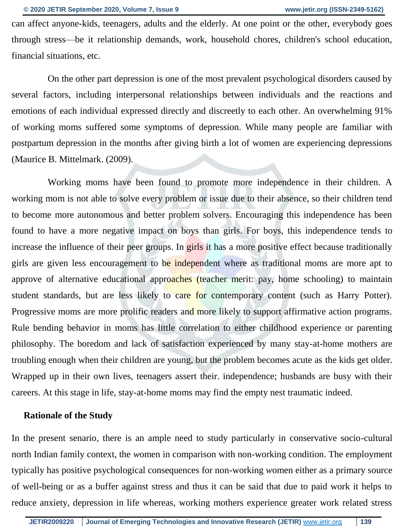can affect anyone-kids, teenagers, adults and the elderly. At one point or the other, everybody goes through stress—be it relationship demands, work, household chores, children's school education, financial situations, etc.

On the other part depression is one of the most prevalent psychological disorders caused by several factors, including interpersonal relationships between individuals and the reactions and emotions of each individual expressed directly and discreetly to each other. An overwhelming 91% of working moms suffered some symptoms of depression. While many people are familiar with postpartum depression in the months after giving birth a lot of women are experiencing depressions (Maurice B. Mittelmark. (2009).

Working moms have been found to promote more independence in their children. A working mom is not able to solve e*v*ery problem or issue due to their absence, so their children tend to become more autonomous and better problem solvers. Encouraging this independence has been found to have a more negative impact on boys than girls. For boys, this independence tends to increase the influence of their peer groups. In girls it has a more positive effect because traditionally girls are given less encouragement to be independent where as traditional moms are more apt to approve of alternative educational approaches (teacher merit: pay, home schooling) to maintain student standards, but are less likely to care for contemporary content (such as Harry Potter). Progressive moms are more prolific readers and more likely to support affirmative action programs. Rule bending behavior in moms has little correlation to either childhood experience or parenting philosophy. The boredom and lack of satisfaction experienced by many stay-at-home mothers are troubling enough when their children are young, but the problem becomes acute as the kids get older. Wrapped up in their own lives, teenagers assert their. independence; husbands are busy with their careers. At this stage in life, stay-at-home moms may find the empty nest traumatic indeed.

#### **Rationale of the Study**

In the present senario, there is an ample need to study particularly in conservative socio-cultural north Indian family context, the *w*omen in comparison with non-working condition. The employment typically has positive psychological consequences for non-working *w*omen either as a primary source of well-being or as a buffer against stress and thus it can be said that due to paid work it helps to reduce anxiety, depression in life whereas, working mothers experience greater work related stress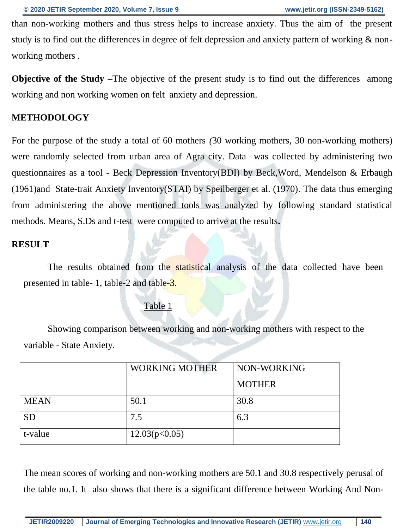than non-working mothers and thus stress helps to increase anxiety. Thus the aim of the present study is to find out the differences in degree of felt depression and anxiety pattern of working & nonworking mothers .

**Objective of the Study** –The objective of the present study is to find out the differences among working and non working women on felt anxiety and depression.

## **METHODOLOGY**

For the purpose of the study a total of 60 mothers *(*30 working mothers, 30 non-working mothers) were randomly selected from urban area of Agra city. Data was collected by administering two questionnaires as a tool - Beck Depression Inventory(BDI) by Beck,Word, Mendelson & Erbaugh (1961)and State-trait Anxiety Inventory(STAI) by Speilberger et al. (1970). The data thus emerging from administering the above mentioned tools was analyzed by following standard statistical methods. Means, S.Ds and t-test were computed to arrive at the results**.**

# **RESULT**

The results obtained from the statistical analysis of the data collected have been presented in table- 1, table-2 and table-3.

#### Table 1

Showing comparison between working and non-working mothers with respect to the variable - State Anxiety.

|             | <b>WORKING MOTHER</b> | NON-WORKING   |  |
|-------------|-----------------------|---------------|--|
|             |                       | <b>MOTHER</b> |  |
| <b>MEAN</b> | 50.1                  | 30.8          |  |
| <b>SD</b>   | 7.5                   | 6.3           |  |
| t-value     | 12.03(p<0.05)         |               |  |

The mean scores of working and non-working mothers are 50.1 and 30.8 respectively perusal of the table no.1. It also shows that there is a significant difference between Working And Non-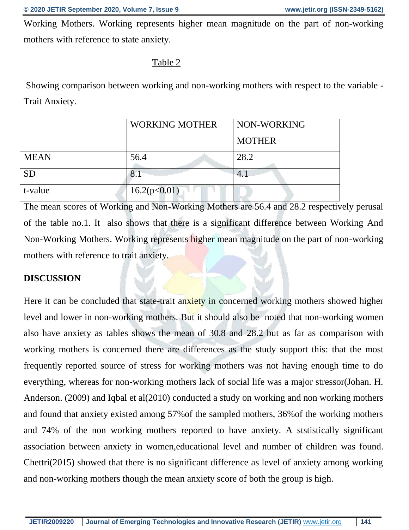Working Mothers. Working represents higher mean magnitude on the part of non-working mothers with reference to state anxiety.

#### Table 2

Showing comparison between working and non-working mothers with respect to the variable - Trait Anxiety.

|             | <b>WORKING MOTHER</b> | NON-WORKING   |  |
|-------------|-----------------------|---------------|--|
|             |                       | <b>MOTHER</b> |  |
| <b>MEAN</b> | 56.4                  | 28.2          |  |
| <b>SD</b>   | 8.1                   | 4.            |  |
| t-value     | 16.2(p<0.01)          |               |  |

The mean scores of Working and Non-Working Mothers are 56.4 and 28.2 respectively perusal of the table no.1. It also shows that there is a significant difference between Working And Non-Working Mothers. Working represents higher mean magnitude on the part of non-working mothers with reference to trait anxiety.

## **DISCUSSION**

Here it can be concluded that state-trait anxiety in concerned working mothers showed higher level and lower in non-working mothers. But it should also be noted that non-working women also have anxiety as tables shows the mean of 30.8 and 28.2 but as far as comparison with working mothers is concerned there are differences as the study support this: that the most frequently reported source of stress for working mothers was not having enough time to do everything, whereas for non-working mothers lack of social life was a major stressor(Johan. H. Anderson. (2009) and Iqbal et al(2010) conducted a study on working and non working mothers and found that anxiety existed among 57%of the sampled mothers, 36%of the working mothers and 74% of the non working mothers reported to have anxiety. A ststistically significant association between anxiety in women,educational level and number of children was found. Chettri(2015) showed that there is no significant difference as level of anxiety among working and non-working mothers though the mean anxiety score of both the group is high.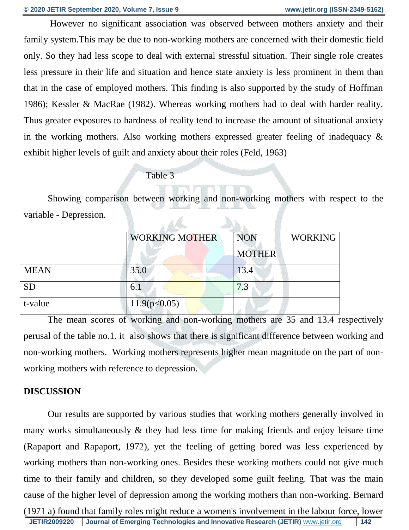However no significant association was observed between mothers anxiety and their family system.This may be due to non-working mothers are concerned with their domestic field only. So they had less scope to deal with external stressful situation. Their single role creates less pressure in their life and situation and hence state anxiety is less prominent in them than that in the case of employed mothers. This finding is also supported by the study of Hoffman 1986); Kessler & MacRae (1982). Whereas working mothers had to deal with harder reality. Thus greater exposures to hardness of reality tend to increase the amount of situational anxiety in the working mothers. Also working mothers expressed greater feeling of inadequacy & exhibit higher levels of guilt and anxiety about their roles (Feld, 1963)

## Table 3

Showing comparison between working and non-working mothers with respect to the variable - Depression.  $\mathbb{A}$ 

|             | <b>WORKING MOTHER</b> | <b>NON</b>    | <b>WORKING</b> |  |  |
|-------------|-----------------------|---------------|----------------|--|--|
|             |                       | <b>MOTHER</b> |                |  |  |
| <b>MEAN</b> | 35.0                  | 13.4          |                |  |  |
| <b>SD</b>   | 6.1                   | 7.3           |                |  |  |
| t-value     | 11.9(p<0.05)          |               |                |  |  |

The mean scores of working and non-working mothers are 35 and 13.4 respectively perusal of the table no.1. it also shows that there is significant difference between working and non-working mothers. Working mothers represents higher mean magnitude on the part of nonworking mothers with reference to depression.

# **DISCUSSION**

Our results are supported by various studies that working mothers generally involved in many works simultaneously & they had less time for making friends and enjoy leisure time (Rapaport and Rapaport, 1972), yet the feeling of getting bored was less experienced by *w*orking mothers than non-working ones. Besides these working mothers could not give much time to their family and children, so they developed some guilt feeling. That was the main cause of the higher level of depression among the working mothers than non-working. Bernard (1971 a) found that family roles might reduce a women's involvement in the labour force, lower

**JETIR2009220 Journal of Emerging Technologies and Innovative Research (JETIR)** [www.jetir.org](http://www.jetir.org/) **142**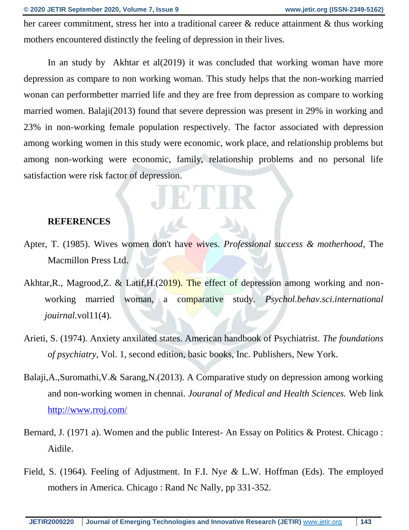her career commitment, stress her into a traditional career & reduce attainment & thus working mothers encountered distinctly the feeling of depression in their lives.

In an study by Akhtar et al(2019) it was concluded that working woman have more depression as compare to non working woman. This study helps that the non-working married wonan can performbetter married life and they are free from depression as compare to working married women. Balaji(2013) found that severe depression was present in 29% in working and 23% in non-working female population respectively. The factor associated with depression among working women in this study were economic, work place, and relationship problems but among non-working were economic, family, relationship problems and no personal life satisfaction were risk factor of depression.

#### **REFERENCES**

- Apter, T. (1985). Wives women don't have *w*ives. *Professional success & motherhood*, The Macmillon Press Ltd.
- Akhtar, R., Magrood, Z. & Latif, H. (2019). The effect of depression among working and nonworking married woman, a comparative study. *Psychol.behav.sci.international jouirnal.*vol11(4).
- Arieti, S. (1974). Anxiety anxilated states. American handbook of Psychiatrist. *The foundations of psychiatry*, Vol. 1, second edition, basic books, Inc. Publishers, New York.
- Balaji,A.,Suromathi,V.& Sarang,N.(2013). A Comparative study on depression among working and non-working women in chennai. *Jouranal of Medical and Health Sciences.* Web link <http://www.rroj.com/>
- Bernard, J. (1971 a). Women and the public Interest- An Essay on Politics & Protest. Chicago : Aidile.
- Field, S. (1964). Feeling of Adjustment. In F.I. Ny*e &* L.W. Hoffman (Eds). The employed mothers in America. Chicago : Rand Nc Nally, pp 331-352.